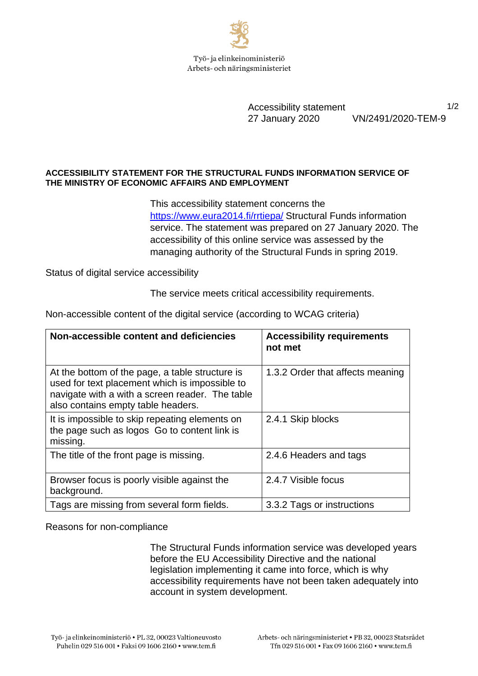

Accessibility statement 1/2 27 January 2020 VN/2491/2020-TEM-9

## **ACCESSIBILITY STATEMENT FOR THE STRUCTURAL FUNDS INFORMATION SERVICE OF THE MINISTRY OF ECONOMIC AFFAIRS AND EMPLOYMENT**

This accessibility statement concerns the <https://www.eura2014.fi/rrtiepa/> Structural Funds information service. The statement was prepared on 27 January 2020. The accessibility of this online service was assessed by the managing authority of the Structural Funds in spring 2019.

Status of digital service accessibility

The service meets critical accessibility requirements.

| Non-accessible content and deficiencies                                                                                                                                                    | <b>Accessibility requirements</b><br>not met |
|--------------------------------------------------------------------------------------------------------------------------------------------------------------------------------------------|----------------------------------------------|
| At the bottom of the page, a table structure is<br>used for text placement which is impossible to<br>navigate with a with a screen reader. The table<br>also contains empty table headers. | 1.3.2 Order that affects meaning             |
| It is impossible to skip repeating elements on<br>the page such as logos Go to content link is<br>missing.                                                                                 | 2.4.1 Skip blocks                            |
| The title of the front page is missing.                                                                                                                                                    | 2.4.6 Headers and tags                       |
| Browser focus is poorly visible against the<br>background.                                                                                                                                 | 2.4.7 Visible focus                          |
| Tags are missing from several form fields.                                                                                                                                                 | 3.3.2 Tags or instructions                   |

Non-accessible content of the digital service (according to WCAG criteria)

Reasons for non-compliance

The Structural Funds information service was developed years before the EU Accessibility Directive and the national legislation implementing it came into force, which is why accessibility requirements have not been taken adequately into account in system development.